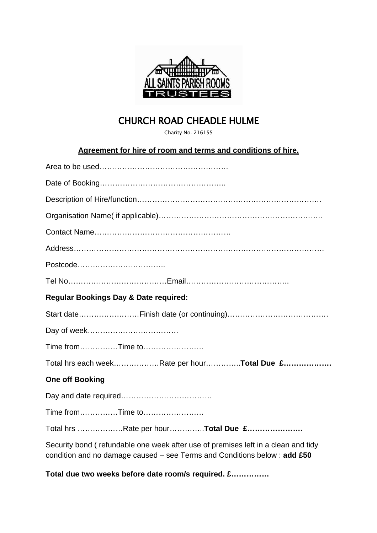

## **CHURCH ROAD CHEADLE HULME**

Charity No. 216155

## **Agreement for hire of room and terms and conditions of hire.**

| <b>Regular Bookings Day &amp; Date required:</b>                                                                                                                 |
|------------------------------------------------------------------------------------------------------------------------------------------------------------------|
|                                                                                                                                                                  |
|                                                                                                                                                                  |
| Time fromTime to                                                                                                                                                 |
| Total hrs each weekRate per hourTotal Due £                                                                                                                      |
| <b>One off Booking</b>                                                                                                                                           |
|                                                                                                                                                                  |
| Time fromTime to                                                                                                                                                 |
| Total hrs Rate per hourTotal Due £                                                                                                                               |
| Security bond (refundable one week after use of premises left in a clean and tidy<br>condition and no damage caused $-$ see Terms and Conditions below : add £50 |

**Total due two weeks before date room/s required. £……………**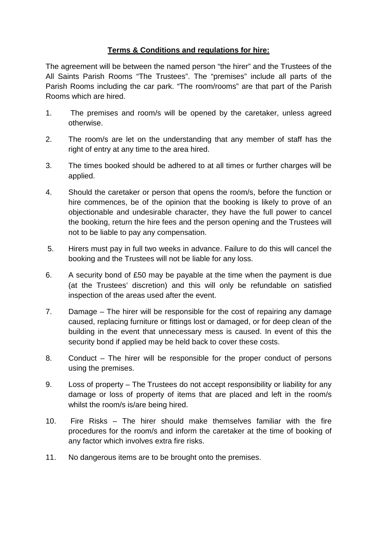## **Terms & Conditions and regulations for hire:**

The agreement will be between the named person "the hirer" and the Trustees of the All Saints Parish Rooms "The Trustees". The "premises" include all parts of the Parish Rooms including the car park. "The room/rooms" are that part of the Parish Rooms which are hired.

- 1. The premises and room/s will be opened by the caretaker, unless agreed otherwise.
- 2. The room/s are let on the understanding that any member of staff has the right of entry at any time to the area hired.
- 3. The times booked should be adhered to at all times or further charges will be applied.
- 4. Should the caretaker or person that opens the room/s, before the function or hire commences, be of the opinion that the booking is likely to prove of an objectionable and undesirable character, they have the full power to cancel the booking, return the hire fees and the person opening and the Trustees will not to be liable to pay any compensation.
- 5. Hirers must pay in full two weeks in advance. Failure to do this will cancel the booking and the Trustees will not be liable for any loss.
- 6. A security bond of £50 may be payable at the time when the payment is due (at the Trustees' discretion) and this will only be refundable on satisfied inspection of the areas used after the event.
- 7. Damage The hirer will be responsible for the cost of repairing any damage caused, replacing furniture or fittings lost or damaged, or for deep clean of the building in the event that unnecessary mess is caused. In event of this the security bond if applied may be held back to cover these costs.
- 8. Conduct The hirer will be responsible for the proper conduct of persons using the premises.
- 9. Loss of property The Trustees do not accept responsibility or liability for any damage or loss of property of items that are placed and left in the room/s whilst the room/s is/are being hired.
- 10. Fire Risks The hirer should make themselves familiar with the fire procedures for the room/s and inform the caretaker at the time of booking of any factor which involves extra fire risks.
- 11. No dangerous items are to be brought onto the premises.